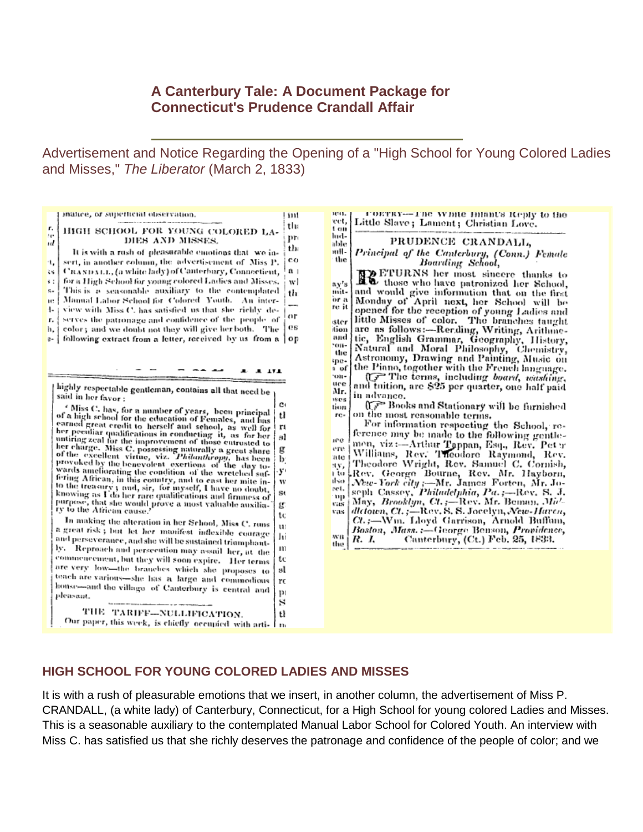## **A Canterbury Tale: A Document Package for Connecticut's Prudence Crandall Affair**

Advertisement and Notice Regarding the Opening of a "High School for Young Colored Ladies and Misses," *The Liberator* (March 2, 1833)

| mar.<br>COETRY-The White Inlant's Reply to the<br>mahee, or superheral observation.<br>m<br>રુહા.<br>Little Slave; Lament; Christian Love.<br>thi<br>t on<br>r.<br>HIGH SCHOOL FOR YOUNG COLORED LA-<br>te-<br>lud-<br>pro<br>DIES AND MISSES.<br>PRUDENCE CRANDALL,<br>иd<br>able<br>tЬ<br>uıH-<br>It is with a rush of pleasurable emotions that we in-<br>Principal of the Canterbury, (Conn.) Female<br>the<br>co<br>sert, in another column, the advertisement of Miss P.<br>Boarding School,<br>٠ı,<br>CRASDALL, (a white lady) of Canterbury, Connecticut,<br>a <sub>1</sub><br>35<br><b>图20</b> ETURNS her most sincere thanks to<br>for a High School for young colored Ladies and Misses,<br>w l<br><b>H.C</b> those who have patronized her School,<br>ч.<br>ay's<br>This is a seasonable auxiliary to the contemplated<br>and would give information that on the first<br>$S =$<br>mit-<br>th:<br>Manual Labor School for Colored Youth. An inter-<br>or a<br>Monday of April next, her School will be<br>Ħ.<br>re it<br>view with Miss C, has satisfied us that she richly de-<br>ı.<br>opened for the reception of young Ladies and<br>or<br>serves the patronage and confidence of the people of<br>little Misses of color. The branches taught<br>г.<br>ister<br>es<br>color; and we doubt not they will give her both. The<br>are as follows:-Rending, Writing, Arithme-<br>tion<br>h,<br>ane<br>tic, English Grammar, Geography, History,<br>following extract from a letter, received by us from a<br>оp<br>e-<br>гон-<br>Natural and Moral Philosophy, Chemistry,<br>the<br>Astronomy, Drawing and Painting, Music on<br>spe-<br>the Piano, togother with the French language.<br>n of<br>(G The terms, including board, washing,<br>*DIL-<br>uce<br>and tuition, are \$25 per quarter, one half paid<br>highly respectable gentleman, contains all that need be<br>Mr.<br>in advance.<br>said in her favor:<br><b>1808</b><br>(F Books and Stationary will be furnished<br>c٠<br>tion<br>' Miss C, has, for a number of years, been principal<br>on the most reasonable terms.<br>tl<br>rc-<br>of a high school for the education of Females, and has<br>For information respecting the School, re-<br>earned great credit to herself and school, as well for<br>r٤<br>ber peculiar qualifications in conducting it, as for her<br>ference may be made to the following gentle-<br>51<br>untiring zeal for the improvement of those cutrusted to<br>æе<br>men, viz:—Arthur Tappan, Esq., Rev. Pet r<br>her charge. Miss C, possessing naturally a great share<br>ere<br>g<br>Williams, Rev. Theodore Raymond, Rev.<br>of the excellent virtue, viz. Philanthropy, has been<br>ate<br>Þ.<br>provoked by the benevolent exertions of the day to-<br>Theodore Wright, Rev. Samuel C. Cornish,<br>яν,<br>wards ameliorating the condition of the wretched suf-<br>۰y۰<br>Rev. George Bourne, Rev. Mr. Hayborn,<br>r to<br>fering African, in this country, and to east her mite in-<br>tiso<br><i>New-York city</i> ;--Mr. James Forten, Mr. Jo-<br>w<br>to the treasury; and, sir, for myself, I have no doubt,<br>vet.<br>seph Cassey, Philadelphia, Pa.;-Rev. S. J.<br>S٤<br>knowing as I do her rare qualifications and firmness of<br>∵ւղը<br>May, <i>Brooklyn</i> , <i>Ct.</i> ;—Rev. Mr. Beman, <i>Mic</i> -<br>purpose, that she would prove a most valuable auxilia-<br>Vits<br>g<br>ry to the African cause.'<br>  dletown, Ct. ;==Rev. S. S. Jocelyn, New-Haven,<br>Vils<br>tc<br>Ct.;-Wm. Lloyd Garrison, Arnold Buffum,<br>In making the alteration in her School, Miss C. runs<br>u<br>Boston, Mass.:-George Benson, Providence,<br>a great risk; but let her manifest inflexible courage<br>Jīi<br>W0<br>Canterbury, (Ct.) Feb. 25, 1833.<br>R. I.<br>and perseverance, and she will be sustained triumphant-<br>the<br>ly. Reproach and persecution may assail her, at the<br>т<br>commencement, but they will soon expire. Her terms<br>tc<br>are very low-the branches which she proposes to<br>sl<br>teach are various-she has a large and commodious<br>rc<br>house-and the village of Canterbury is central and<br>m<br>pleasant,<br>s<br>THE TARIFF-NULLIFICATION.<br>tł<br>Our paper, this week, is chiefly occupied with arti- I m |  |  |
|-----------------------------------------------------------------------------------------------------------------------------------------------------------------------------------------------------------------------------------------------------------------------------------------------------------------------------------------------------------------------------------------------------------------------------------------------------------------------------------------------------------------------------------------------------------------------------------------------------------------------------------------------------------------------------------------------------------------------------------------------------------------------------------------------------------------------------------------------------------------------------------------------------------------------------------------------------------------------------------------------------------------------------------------------------------------------------------------------------------------------------------------------------------------------------------------------------------------------------------------------------------------------------------------------------------------------------------------------------------------------------------------------------------------------------------------------------------------------------------------------------------------------------------------------------------------------------------------------------------------------------------------------------------------------------------------------------------------------------------------------------------------------------------------------------------------------------------------------------------------------------------------------------------------------------------------------------------------------------------------------------------------------------------------------------------------------------------------------------------------------------------------------------------------------------------------------------------------------------------------------------------------------------------------------------------------------------------------------------------------------------------------------------------------------------------------------------------------------------------------------------------------------------------------------------------------------------------------------------------------------------------------------------------------------------------------------------------------------------------------------------------------------------------------------------------------------------------------------------------------------------------------------------------------------------------------------------------------------------------------------------------------------------------------------------------------------------------------------------------------------------------------------------------------------------------------------------------------------------------------------------------------------------------------------------------------------------------------------------------------------------------------------------------------------------------------------------------------------------------------------------------------------------------------------------------------------------------------------------------------------------------------------------------------------------------------------------------------------------------------------------------------------------------------------------------------------------------------------------------------------------------------------------------------------------------------------------------------------------------------------------------------------------------------------------------------------------------------------------------------------------------------------------------------------------------------------------------------------------------------------------------------------------|--|--|
|                                                                                                                                                                                                                                                                                                                                                                                                                                                                                                                                                                                                                                                                                                                                                                                                                                                                                                                                                                                                                                                                                                                                                                                                                                                                                                                                                                                                                                                                                                                                                                                                                                                                                                                                                                                                                                                                                                                                                                                                                                                                                                                                                                                                                                                                                                                                                                                                                                                                                                                                                                                                                                                                                                                                                                                                                                                                                                                                                                                                                                                                                                                                                                                                                                                                                                                                                                                                                                                                                                                                                                                                                                                                                                                                                                                                                                                                                                                                                                                                                                                                                                                                                                                                                                                                             |  |  |
|                                                                                                                                                                                                                                                                                                                                                                                                                                                                                                                                                                                                                                                                                                                                                                                                                                                                                                                                                                                                                                                                                                                                                                                                                                                                                                                                                                                                                                                                                                                                                                                                                                                                                                                                                                                                                                                                                                                                                                                                                                                                                                                                                                                                                                                                                                                                                                                                                                                                                                                                                                                                                                                                                                                                                                                                                                                                                                                                                                                                                                                                                                                                                                                                                                                                                                                                                                                                                                                                                                                                                                                                                                                                                                                                                                                                                                                                                                                                                                                                                                                                                                                                                                                                                                                                             |  |  |
|                                                                                                                                                                                                                                                                                                                                                                                                                                                                                                                                                                                                                                                                                                                                                                                                                                                                                                                                                                                                                                                                                                                                                                                                                                                                                                                                                                                                                                                                                                                                                                                                                                                                                                                                                                                                                                                                                                                                                                                                                                                                                                                                                                                                                                                                                                                                                                                                                                                                                                                                                                                                                                                                                                                                                                                                                                                                                                                                                                                                                                                                                                                                                                                                                                                                                                                                                                                                                                                                                                                                                                                                                                                                                                                                                                                                                                                                                                                                                                                                                                                                                                                                                                                                                                                                             |  |  |

## **HIGH SCHOOL FOR YOUNG COLORED LADIES AND MISSES**

It is with a rush of pleasurable emotions that we insert, in another column, the advertisement of Miss P. CRANDALL, (a white lady) of Canterbury, Connecticut, for a High School for young colored Ladies and Misses. This is a seasonable auxiliary to the contemplated Manual Labor School for Colored Youth. An interview with Miss C. has satisfied us that she richly deserves the patronage and confidence of the people of color; and we